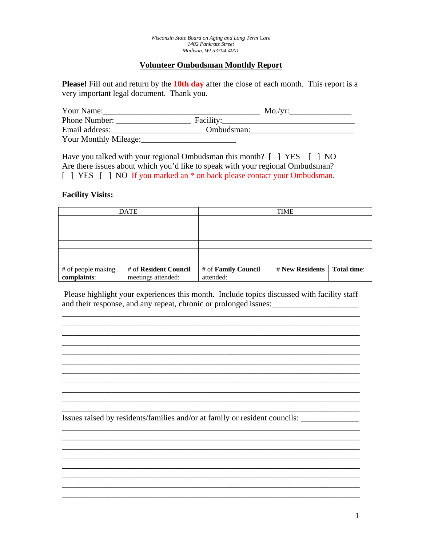# **Volunteer Ombudsman Monthly Report**

**Please!** Fill out and return by the **10th day** after the close of each month. This report is a very important legal document. Thank you.

| Your Name:            |            | $Mo./vr$ : |
|-----------------------|------------|------------|
| Phone Number:         | Facility:  |            |
| Email address:        | Ombudsman: |            |
| Your Monthly Mileage: |            |            |

Have you talked with your regional Ombudsman this month? [ ] YES [ ] NO Are there issues about which you'd like to speak with your regional Ombudsman? [ ] YES [ ] NO If you marked an  $*$  on back please contact your Ombudsman.

## **Facility Visits:**

| <b>DATE</b>        |                       | <b>TIME</b>         |                        |             |
|--------------------|-----------------------|---------------------|------------------------|-------------|
|                    |                       |                     |                        |             |
|                    |                       |                     |                        |             |
|                    |                       |                     |                        |             |
|                    |                       |                     |                        |             |
|                    |                       |                     |                        |             |
|                    |                       |                     |                        |             |
| # of people making | # of Resident Council | # of Family Council | <b># New Residents</b> | Total time: |
| complaints:        | meetings attended:    | attended:           |                        |             |

 Please highlight your experiences this month. Include topics discussed with facility staff and their response, and any repeat, chronic or prolonged issues:\_\_\_\_\_\_\_\_\_\_\_\_\_\_\_\_\_\_\_\_\_

\_\_\_\_\_\_\_\_\_\_\_\_\_\_\_\_\_\_\_\_\_\_\_\_\_\_\_\_\_\_\_\_\_\_\_\_\_\_\_\_\_\_\_\_\_\_\_\_\_\_\_\_\_\_\_\_\_\_\_\_\_\_\_\_\_\_\_\_\_\_\_\_ \_\_\_\_\_\_\_\_\_\_\_\_\_\_\_\_\_\_\_\_\_\_\_\_\_\_\_\_\_\_\_\_\_\_\_\_\_\_\_\_\_\_\_\_\_\_\_\_\_\_\_\_\_\_\_\_\_\_\_\_\_\_\_\_\_\_\_\_\_\_\_\_ \_\_\_\_\_\_\_\_\_\_\_\_\_\_\_\_\_\_\_\_\_\_\_\_\_\_\_\_\_\_\_\_\_\_\_\_\_\_\_\_\_\_\_\_\_\_\_\_\_\_\_\_\_\_\_\_\_\_\_\_\_\_\_\_\_\_\_\_\_\_\_\_  $\mathcal{L}_\mathcal{L} = \mathcal{L}_\mathcal{L} = \mathcal{L}_\mathcal{L} = \mathcal{L}_\mathcal{L} = \mathcal{L}_\mathcal{L} = \mathcal{L}_\mathcal{L} = \mathcal{L}_\mathcal{L} = \mathcal{L}_\mathcal{L} = \mathcal{L}_\mathcal{L} = \mathcal{L}_\mathcal{L} = \mathcal{L}_\mathcal{L} = \mathcal{L}_\mathcal{L} = \mathcal{L}_\mathcal{L} = \mathcal{L}_\mathcal{L} = \mathcal{L}_\mathcal{L} = \mathcal{L}_\mathcal{L} = \mathcal{L}_\mathcal{L}$ 

\_\_\_\_\_\_\_\_\_\_\_\_\_\_\_\_\_\_\_\_\_\_\_\_\_\_\_\_\_\_\_\_\_\_\_\_\_\_\_\_\_\_\_\_\_\_\_\_\_\_\_\_\_\_\_\_\_\_\_\_\_\_\_\_\_\_\_\_\_\_\_\_

\_\_\_\_\_\_\_\_\_\_\_\_\_\_\_\_\_\_\_\_\_\_\_\_\_\_\_\_\_\_\_\_\_\_\_\_\_\_\_\_\_\_\_\_\_\_\_\_\_\_\_\_\_\_\_\_\_\_\_\_\_\_\_\_\_\_\_\_\_\_\_\_ \_\_\_\_\_\_\_\_\_\_\_\_\_\_\_\_\_\_\_\_\_\_\_\_\_\_\_\_\_\_\_\_\_\_\_\_\_\_\_\_\_\_\_\_\_\_\_\_\_\_\_\_\_\_\_\_\_\_\_\_\_\_\_\_\_\_\_\_\_\_\_\_

\_\_\_\_\_\_\_\_\_\_\_\_\_\_\_\_\_\_\_\_\_\_\_\_\_\_\_\_\_\_\_\_\_\_\_\_\_\_\_\_\_\_\_\_\_\_\_\_\_\_\_\_\_\_\_\_\_\_\_\_\_\_\_\_\_\_\_\_\_\_\_\_ \_\_\_\_\_\_\_\_\_\_\_\_\_\_\_\_\_\_\_\_\_\_\_\_\_\_\_\_\_\_\_\_\_\_\_\_\_\_\_\_\_\_\_\_\_\_\_\_\_\_\_\_\_\_\_\_\_\_\_\_\_\_\_\_\_\_\_\_\_\_\_\_

\_\_\_\_\_\_\_\_\_\_\_\_\_\_\_\_\_\_\_\_\_\_\_\_\_\_\_\_\_\_\_\_\_\_\_\_\_\_\_\_\_\_\_\_\_\_\_\_\_\_\_\_\_\_\_\_\_\_\_\_\_\_\_\_\_\_\_\_\_\_\_\_

**\_\_\_\_\_\_\_\_\_\_\_\_\_\_\_\_\_\_\_\_\_\_\_\_\_\_\_\_\_\_\_\_\_\_\_\_\_\_\_\_\_\_\_\_\_\_\_\_\_\_\_\_\_\_\_\_\_\_\_\_\_\_\_\_\_\_\_\_\_\_\_\_ \_\_\_\_\_\_\_\_\_\_\_\_\_\_\_\_\_\_\_\_\_\_\_\_\_\_\_\_\_\_\_\_\_\_\_\_\_\_\_\_\_\_\_\_\_\_\_\_\_\_\_\_\_\_\_\_\_\_\_\_\_\_\_\_\_\_\_\_\_\_\_\_** 

 $\ldots$  . The contribution of the contribution of the contribution of the contribution of the contribution of the contribution of the contribution of the contribution of the contribution of the contribution of the contribut

\_\_\_\_\_\_\_\_\_\_\_\_\_\_\_\_\_\_\_\_\_\_\_\_\_\_\_\_\_\_\_\_\_\_\_\_\_\_\_\_\_\_\_\_\_\_\_\_\_\_\_\_\_\_\_\_\_\_\_\_\_\_\_\_\_\_\_\_\_\_\_\_

\_\_\_\_\_\_\_\_\_\_\_\_\_\_\_\_\_\_\_\_\_\_\_\_\_\_\_\_\_\_\_\_\_\_\_\_\_\_\_\_\_\_\_\_\_\_\_\_\_\_\_\_\_\_\_\_\_\_\_\_\_\_\_\_\_\_\_\_\_\_\_\_ Issues raised by residents/families and/or at family or resident councils: \_\_\_\_\_\_\_\_\_\_\_\_\_\_